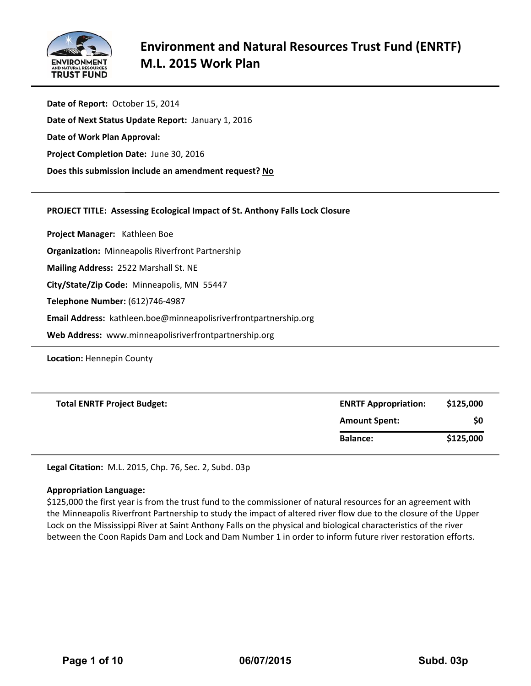

**Date of Report:** October 15, 2014 **Date of Next Status Update Report:** January 1, 2016 **Date of Work Plan Approval: Project Completion Date:** June 30, 2016 **Does this submission include an amendment request? No**

# **PROJECT TITLE: Assessing Ecological Impact of St. Anthony Falls Lock Closure**

**Project Manager:**  Kathleen Boe

**Organization:** Minneapolis Riverfront Partnership

**Mailing Address:** 2522 Marshall St. NE

**City/State/Zip Code:** Minneapolis, MN 55447

**Telephone Number:** (612)746‐4987

**Email Address:** kathleen.boe@minneapolisriverfrontpartnership.org

**Web Address:** www.minneapolisriverfrontpartnership.org

**Location:** Hennepin County

| <b>Total ENRTF Project Budget:</b> | <b>ENRTF Appropriation:</b> | \$125,000<br>\$0 |  |
|------------------------------------|-----------------------------|------------------|--|
|                                    | <b>Amount Spent:</b>        |                  |  |
|                                    | <b>Balance:</b>             | \$125,000        |  |

**Legal Citation:** M.L. 2015, Chp. 76, Sec. 2, Subd. 03p

#### **Appropriation Language:**

\$125,000 the first year is from the trust fund to the commissioner of natural resources for an agreement with the Minneapolis Riverfront Partnership to study the impact of altered river flow due to the closure of the Upper Lock on the Mississippi River at Saint Anthony Falls on the physical and biological characteristics of the river between the Coon Rapids Dam and Lock and Dam Number 1 in order to inform future river restoration efforts.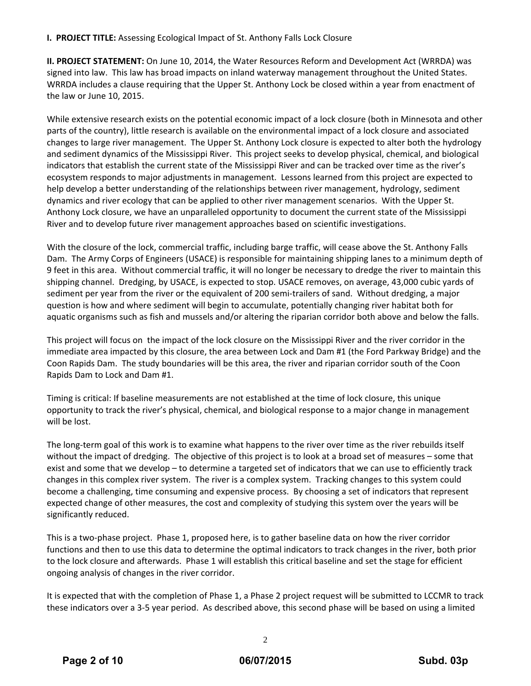# **I. PROJECT TITLE:** Assessing Ecological Impact of St. Anthony Falls Lock Closure

**II. PROJECT STATEMENT:** On June 10, 2014, the Water Resources Reform and Development Act (WRRDA) was signed into law. This law has broad impacts on inland waterway management throughout the United States. WRRDA includes a clause requiring that the Upper St. Anthony Lock be closed within a year from enactment of the law or June 10, 2015.

While extensive research exists on the potential economic impact of a lock closure (both in Minnesota and other parts of the country), little research is available on the environmental impact of a lock closure and associated changes to large river management. The Upper St. Anthony Lock closure is expected to alter both the hydrology and sediment dynamics of the Mississippi River. This project seeks to develop physical, chemical, and biological indicators that establish the current state of the Mississippi River and can be tracked over time as the river's ecosystem responds to major adjustments in management. Lessons learned from this project are expected to help develop a better understanding of the relationships between river management, hydrology, sediment dynamics and river ecology that can be applied to other river management scenarios. With the Upper St. Anthony Lock closure, we have an unparalleled opportunity to document the current state of the Mississippi River and to develop future river management approaches based on scientific investigations.

With the closure of the lock, commercial traffic, including barge traffic, will cease above the St. Anthony Falls Dam. The Army Corps of Engineers (USACE) is responsible for maintaining shipping lanes to a minimum depth of 9 feet in this area. Without commercial traffic, it will no longer be necessary to dredge the river to maintain this shipping channel. Dredging, by USACE, is expected to stop. USACE removes, on average, 43,000 cubic yards of sediment per year from the river or the equivalent of 200 semi-trailers of sand. Without dredging, a major question is how and where sediment will begin to accumulate, potentially changing river habitat both for aquatic organisms such as fish and mussels and/or altering the riparian corridor both above and below the falls.

This project will focus on the impact of the lock closure on the Mississippi River and the river corridor in the immediate area impacted by this closure, the area between Lock and Dam #1 (the Ford Parkway Bridge) and the Coon Rapids Dam. The study boundaries will be this area, the river and riparian corridor south of the Coon Rapids Dam to Lock and Dam #1.

Timing is critical: If baseline measurements are not established at the time of lock closure, this unique opportunity to track the river's physical, chemical, and biological response to a major change in management will be lost.

The long‐term goal of this work is to examine what happens to the river over time as the river rebuilds itself without the impact of dredging. The objective of this project is to look at a broad set of measures – some that exist and some that we develop – to determine a targeted set of indicators that we can use to efficiently track changes in this complex river system. The river is a complex system. Tracking changes to this system could become a challenging, time consuming and expensive process. By choosing a set of indicators that represent expected change of other measures, the cost and complexity of studying this system over the years will be significantly reduced.

This is a two‐phase project. Phase 1, proposed here, is to gather baseline data on how the river corridor functions and then to use this data to determine the optimal indicators to track changes in the river, both prior to the lock closure and afterwards. Phase 1 will establish this critical baseline and set the stage for efficient ongoing analysis of changes in the river corridor.

It is expected that with the completion of Phase 1, a Phase 2 project request will be submitted to LCCMR to track these indicators over a 3‐5 year period. As described above, this second phase will be based on using a limited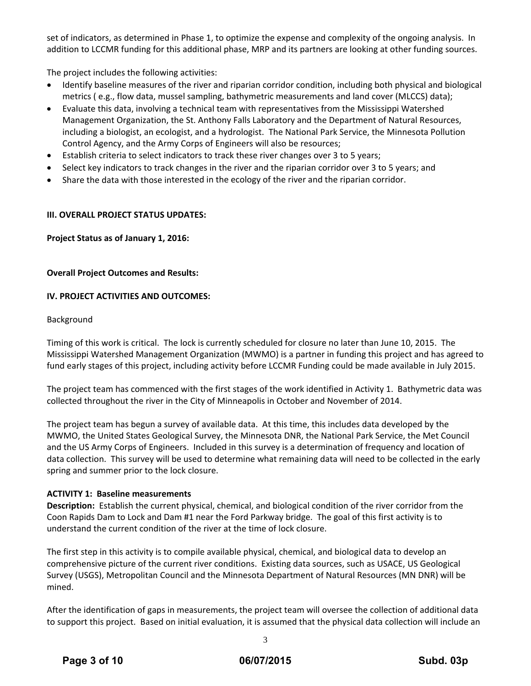set of indicators, as determined in Phase 1, to optimize the expense and complexity of the ongoing analysis. In addition to LCCMR funding for this additional phase, MRP and its partners are looking at other funding sources.

The project includes the following activities:

- Identify baseline measures of the river and riparian corridor condition, including both physical and biological metrics ( e.g., flow data, mussel sampling, bathymetric measurements and land cover (MLCCS) data);
- Evaluate this data, involving a technical team with representatives from the Mississippi Watershed Management Organization, the St. Anthony Falls Laboratory and the Department of Natural Resources, including a biologist, an ecologist, and a hydrologist. The National Park Service, the Minnesota Pollution Control Agency, and the Army Corps of Engineers will also be resources;
- Establish criteria to select indicators to track these river changes over 3 to 5 years;
- Select key indicators to track changes in the river and the riparian corridor over 3 to 5 years; and
- Share the data with those interested in the ecology of the river and the riparian corridor.

#### **III. OVERALL PROJECT STATUS UPDATES:**

**Project Status as of January 1, 2016:** 

#### **Overall Project Outcomes and Results:**

#### **IV. PROJECT ACTIVITIES AND OUTCOMES:**

#### Background

Timing of this work is critical. The lock is currently scheduled for closure no later than June 10, 2015. The Mississippi Watershed Management Organization (MWMO) is a partner in funding this project and has agreed to fund early stages of this project, including activity before LCCMR Funding could be made available in July 2015.

The project team has commenced with the first stages of the work identified in Activity 1. Bathymetric data was collected throughout the river in the City of Minneapolis in October and November of 2014.

The project team has begun a survey of available data. At this time, this includes data developed by the MWMO, the United States Geological Survey, the Minnesota DNR, the National Park Service, the Met Council and the US Army Corps of Engineers. Included in this survey is a determination of frequency and location of data collection. This survey will be used to determine what remaining data will need to be collected in the early spring and summer prior to the lock closure.

#### **ACTIVITY 1: Baseline measurements**

**Description:** Establish the current physical, chemical, and biological condition of the river corridor from the Coon Rapids Dam to Lock and Dam #1 near the Ford Parkway bridge. The goal of this first activity is to understand the current condition of the river at the time of lock closure.

The first step in this activity is to compile available physical, chemical, and biological data to develop an comprehensive picture of the current river conditions. Existing data sources, such as USACE, US Geological Survey (USGS), Metropolitan Council and the Minnesota Department of Natural Resources (MN DNR) will be mined.

After the identification of gaps in measurements, the project team will oversee the collection of additional data to support this project. Based on initial evaluation, it is assumed that the physical data collection will include an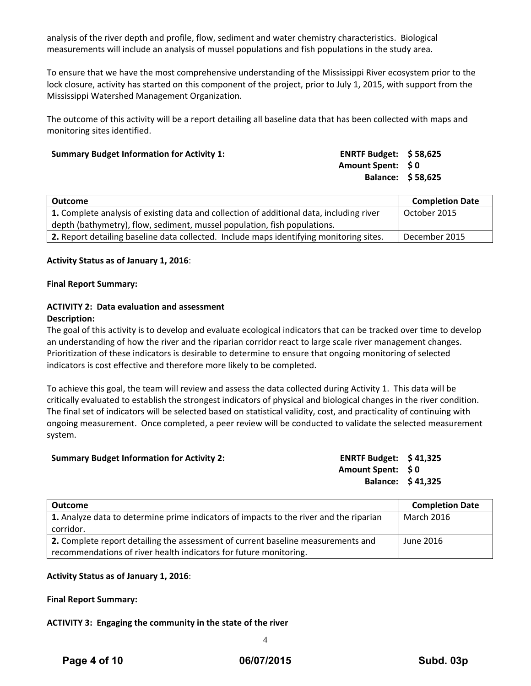analysis of the river depth and profile, flow, sediment and water chemistry characteristics. Biological measurements will include an analysis of mussel populations and fish populations in the study area.

To ensure that we have the most comprehensive understanding of the Mississippi River ecosystem prior to the lock closure, activity has started on this component of the project, prior to July 1, 2015, with support from the Mississippi Watershed Management Organization.

The outcome of this activity will be a report detailing all baseline data that has been collected with maps and monitoring sites identified.

| <b>Summary Budget Information for Activity 1:</b> | <b>ENRTF Budget: \$58,625</b> |  |
|---------------------------------------------------|-------------------------------|--|
|                                                   | Amount Spent: \$0             |  |
|                                                   | <b>Balance: \$58,625</b>      |  |

| Outcome                                                                                  | <b>Completion Date</b> |
|------------------------------------------------------------------------------------------|------------------------|
| 1. Complete analysis of existing data and collection of additional data, including river | October 2015           |
| depth (bathymetry), flow, sediment, mussel population, fish populations.                 |                        |
| 2. Report detailing baseline data collected. Include maps identifying monitoring sites.  | December 2015          |

#### **Activity Status as of January 1, 2016**:

#### **Final Report Summary:**

#### **ACTIVITY 2: Data evaluation and assessment Description:**

The goal of this activity is to develop and evaluate ecological indicators that can be tracked over time to develop an understanding of how the river and the riparian corridor react to large scale river management changes. Prioritization of these indicators is desirable to determine to ensure that ongoing monitoring of selected indicators is cost effective and therefore more likely to be completed.

To achieve this goal, the team will review and assess the data collected during Activity 1. This data will be critically evaluated to establish the strongest indicators of physical and biological changes in the river condition. The final set of indicators will be selected based on statistical validity, cost, and practicality of continuing with ongoing measurement. Once completed, a peer review will be conducted to validate the selected measurement system.

| <b>Summary Budget Information for Activity 2:</b> | ENRTF Budget: $$41,325$ |  |
|---------------------------------------------------|-------------------------|--|
|                                                   | Amount Spent: \$0       |  |
|                                                   | Balance: \$41,325       |  |
|                                                   |                         |  |

| Outcome                                                                                | <b>Completion Date</b> |
|----------------------------------------------------------------------------------------|------------------------|
| 1. Analyze data to determine prime indicators of impacts to the river and the riparian | <b>March 2016</b>      |
| corridor.                                                                              |                        |
| 2. Complete report detailing the assessment of current baseline measurements and       | June 2016              |
| recommendations of river health indicators for future monitoring.                      |                        |

#### **Activity Status as of January 1, 2016**:

**Final Report Summary:**

#### **ACTIVITY 3: Engaging the community in the state of the river**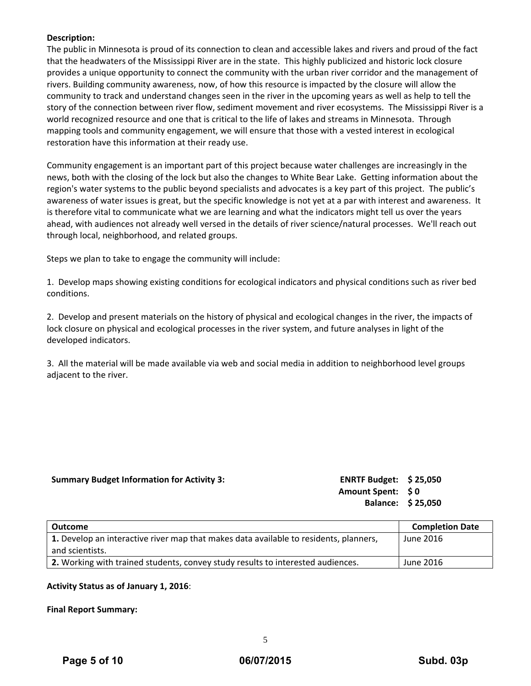# **Description:**

The public in Minnesota is proud of its connection to clean and accessible lakes and rivers and proud of the fact that the headwaters of the Mississippi River are in the state. This highly publicized and historic lock closure provides a unique opportunity to connect the community with the urban river corridor and the management of rivers. Building community awareness, now, of how this resource is impacted by the closure will allow the community to track and understand changes seen in the river in the upcoming years as well as help to tell the story of the connection between river flow, sediment movement and river ecosystems. The Mississippi River is a world recognized resource and one that is critical to the life of lakes and streams in Minnesota. Through mapping tools and community engagement, we will ensure that those with a vested interest in ecological restoration have this information at their ready use.

Community engagement is an important part of this project because water challenges are increasingly in the news, both with the closing of the lock but also the changes to White Bear Lake. Getting information about the region's water systems to the public beyond specialists and advocates is a key part of this project. The public's awareness of water issues is great, but the specific knowledge is not yet at a par with interest and awareness. It is therefore vital to communicate what we are learning and what the indicators might tell us over the years ahead, with audiences not already well versed in the details of river science/natural processes. We'll reach out through local, neighborhood, and related groups.

Steps we plan to take to engage the community will include:

1. Develop maps showing existing conditions for ecological indicators and physical conditions such as river bed conditions.

2. Develop and present materials on the history of physical and ecological changes in the river, the impacts of lock closure on physical and ecological processes in the river system, and future analyses in light of the developed indicators.

3. All the material will be made available via web and social media in addition to neighborhood level groups adjacent to the river.

# **Summary Budget Information for Activity 3: ENRTF Budget: \$ 25,050**

**Amount Spent: \$ 0 Balance: \$ 25,050**

| Outcome                                                                               | <b>Completion Date</b> |
|---------------------------------------------------------------------------------------|------------------------|
| 1. Develop an interactive river map that makes data available to residents, planners, | June 2016              |
| and scientists.                                                                       |                        |
| 2. Working with trained students, convey study results to interested audiences.       | June 2016              |

# **Activity Status as of January 1, 2016**:

**Final Report Summary:**

5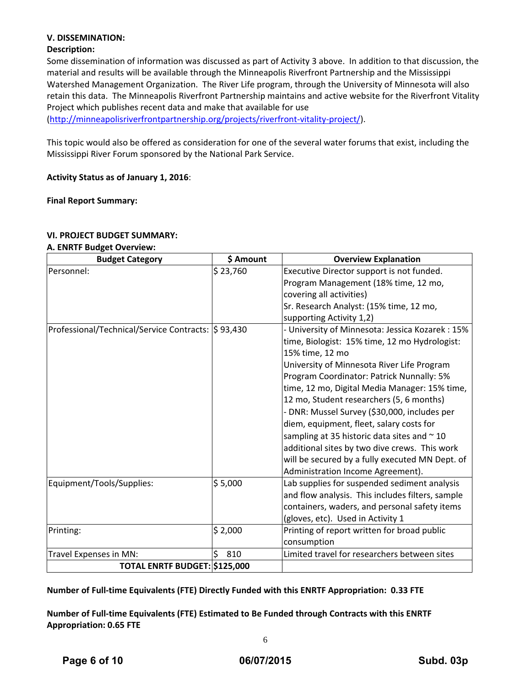# **V. DISSEMINATION:**

# **Description:**

Some dissemination of information was discussed as part of Activity 3 above. In addition to that discussion, the material and results will be available through the Minneapolis Riverfront Partnership and the Mississippi Watershed Management Organization. The River Life program, through the University of Minnesota will also retain this data. The Minneapolis Riverfront Partnership maintains and active website for the Riverfront Vitality Project which publishes recent data and make that available for use

(http://minneapolisriverfrontpartnership.org/projects/riverfront‐vitality‐project/).

This topic would also be offered as consideration for one of the several water forums that exist, including the Mississippi River Forum sponsored by the National Park Service.

**Activity Status as of January 1, 2016**:

**Final Report Summary:**

#### **VI. PROJECT BUDGET SUMMARY:**

#### **A. ENRTF Budget Overview:**

| <b>Budget Category</b>                              | \$ Amount | <b>Overview Explanation</b>                      |
|-----------------------------------------------------|-----------|--------------------------------------------------|
| Personnel:                                          | \$23,760  | Executive Director support is not funded.        |
|                                                     |           | Program Management (18% time, 12 mo,             |
|                                                     |           | covering all activities)                         |
|                                                     |           | Sr. Research Analyst: (15% time, 12 mo,          |
|                                                     |           | supporting Activity 1,2)                         |
| Professional/Technical/Service Contracts:  \$93,430 |           | - University of Minnesota: Jessica Kozarek: 15%  |
|                                                     |           | time, Biologist: 15% time, 12 mo Hydrologist:    |
|                                                     |           | 15% time, 12 mo                                  |
|                                                     |           | University of Minnesota River Life Program       |
|                                                     |           | Program Coordinator: Patrick Nunnally: 5%        |
|                                                     |           | time, 12 mo, Digital Media Manager: 15% time,    |
|                                                     |           | 12 mo, Student researchers (5, 6 months)         |
|                                                     |           | - DNR: Mussel Survey (\$30,000, includes per     |
|                                                     |           | diem, equipment, fleet, salary costs for         |
|                                                     |           | sampling at 35 historic data sites and $\sim$ 10 |
|                                                     |           | additional sites by two dive crews. This work    |
|                                                     |           | will be secured by a fully executed MN Dept. of  |
|                                                     |           | Administration Income Agreement).                |
| Equipment/Tools/Supplies:                           | \$5,000   | Lab supplies for suspended sediment analysis     |
|                                                     |           | and flow analysis. This includes filters, sample |
|                                                     |           | containers, waders, and personal safety items    |
|                                                     |           | (gloves, etc). Used in Activity 1                |
| Printing:                                           | \$2,000   | Printing of report written for broad public      |
|                                                     |           | consumption                                      |
| Travel Expenses in MN:                              | \$<br>810 | Limited travel for researchers between sites     |
| TOTAL ENRTF BUDGET: \$125,000                       |           |                                                  |

**Number of Full‐time Equivalents (FTE) Directly Funded with this ENRTF Appropriation: 0.33 FTE**

**Number of Full‐time Equivalents (FTE) Estimated to Be Funded through Contracts with this ENRTF Appropriation: 0.65 FTE**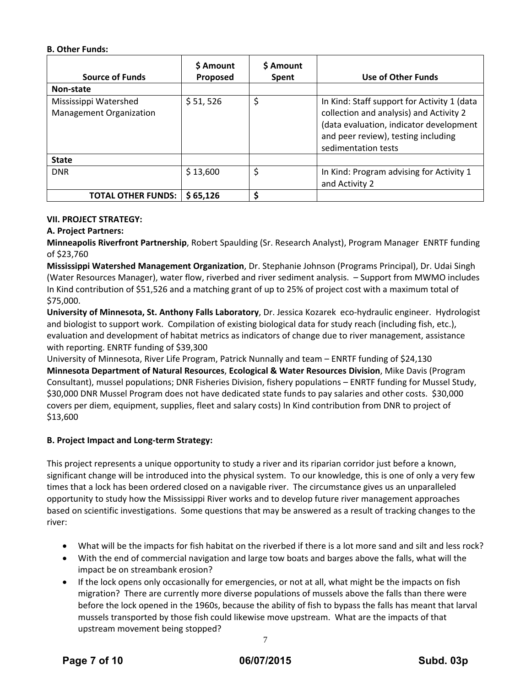### **B. Other Funds:**

| <b>Source of Funds</b>                                  | <b>S</b> Amount<br>Proposed | \$ Amount<br><b>Spent</b> | Use of Other Funds                                                                                                                                                                              |
|---------------------------------------------------------|-----------------------------|---------------------------|-------------------------------------------------------------------------------------------------------------------------------------------------------------------------------------------------|
| Non-state                                               |                             |                           |                                                                                                                                                                                                 |
| Mississippi Watershed<br><b>Management Organization</b> | \$51,526                    | \$                        | In Kind: Staff support for Activity 1 (data<br>collection and analysis) and Activity 2<br>(data evaluation, indicator development<br>and peer review), testing including<br>sedimentation tests |
| <b>State</b>                                            |                             |                           |                                                                                                                                                                                                 |
| <b>DNR</b>                                              | \$13,600                    | \$                        | In Kind: Program advising for Activity 1<br>and Activity 2                                                                                                                                      |
| <b>TOTAL OTHER FUNDS:</b>                               | \$65,126                    | Ś                         |                                                                                                                                                                                                 |

# **VII. PROJECT STRATEGY:**

# **A. Project Partners:**

**Minneapolis Riverfront Partnership**, Robert Spaulding (Sr. Research Analyst), Program Manager ENRTF funding of \$23,760

**Mississippi Watershed Management Organization**, Dr. Stephanie Johnson (Programs Principal), Dr. Udai Singh (Water Resources Manager), water flow, riverbed and river sediment analysis. – Support from MWMO includes In Kind contribution of \$51,526 and a matching grant of up to 25% of project cost with a maximum total of \$75,000.

**University of Minnesota, St. Anthony Falls Laboratory**, Dr. Jessica Kozarek eco‐hydraulic engineer. Hydrologist and biologist to support work. Compilation of existing biological data for study reach (including fish, etc.), evaluation and development of habitat metrics as indicators of change due to river management, assistance with reporting. ENRTF funding of \$39,300

University of Minnesota, River Life Program, Patrick Nunnally and team – ENRTF funding of \$24,130 **Minnesota Department of Natural Resources**, **Ecological & Water Resources Division**, Mike Davis (Program Consultant), mussel populations; DNR Fisheries Division, fishery populations – ENRTF funding for Mussel Study, \$30,000 DNR Mussel Program does not have dedicated state funds to pay salaries and other costs. \$30,000 covers per diem, equipment, supplies, fleet and salary costs) In Kind contribution from DNR to project of \$13,600

# **B. Project Impact and Long‐term Strategy:**

This project represents a unique opportunity to study a river and its riparian corridor just before a known, significant change will be introduced into the physical system. To our knowledge, this is one of only a very few times that a lock has been ordered closed on a navigable river. The circumstance gives us an unparalleled opportunity to study how the Mississippi River works and to develop future river management approaches based on scientific investigations. Some questions that may be answered as a result of tracking changes to the river:

- What will be the impacts for fish habitat on the riverbed if there is a lot more sand and silt and less rock?
- With the end of commercial navigation and large tow boats and barges above the falls, what will the impact be on streambank erosion?
- 7 If the lock opens only occasionally for emergencies, or not at all, what might be the impacts on fish migration? There are currently more diverse populations of mussels above the falls than there were before the lock opened in the 1960s, because the ability of fish to bypass the falls has meant that larval mussels transported by those fish could likewise move upstream. What are the impacts of that upstream movement being stopped?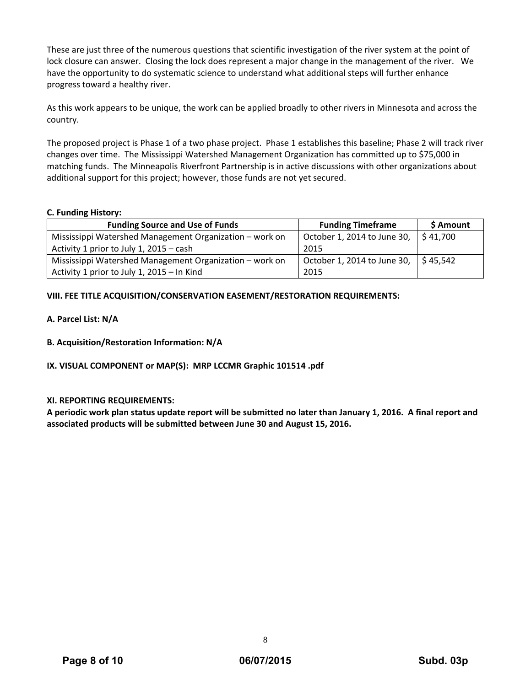These are just three of the numerous questions that scientific investigation of the river system at the point of lock closure can answer. Closing the lock does represent a major change in the management of the river. We have the opportunity to do systematic science to understand what additional steps will further enhance progress toward a healthy river.

As this work appears to be unique, the work can be applied broadly to other rivers in Minnesota and across the country.

The proposed project is Phase 1 of a two phase project. Phase 1 establishes this baseline; Phase 2 will track river changes over time. The Mississippi Watershed Management Organization has committed up to \$75,000 in matching funds. The Minneapolis Riverfront Partnership is in active discussions with other organizations about additional support for this project; however, those funds are not yet secured.

# **C. Funding History:**

| <b>Funding Source and Use of Funds</b>                  | <b>Funding Timeframe</b>                           | \$ Amount |
|---------------------------------------------------------|----------------------------------------------------|-----------|
| Mississippi Watershed Management Organization – work on | October 1, 2014 to June 30, $\frac{1}{2}$ \$41,700 |           |
| Activity 1 prior to July 1, 2015 – cash                 | 2015                                               |           |
| Mississippi Watershed Management Organization - work on | October 1, 2014 to June 30, $\frac{1}{5}$ 45,542   |           |
| Activity 1 prior to July 1, 2015 - In Kind              | 2015                                               |           |

# **VIII. FEE TITLE ACQUISITION/CONSERVATION EASEMENT/RESTORATION REQUIREMENTS:**

#### **A. Parcel List: N/A**

**B. Acquisition/Restoration Information: N/A**

# **IX. VISUAL COMPONENT or MAP(S): MRP LCCMR Graphic 101514 .pdf**

# **XI. REPORTING REQUIREMENTS:**

A periodic work plan status update report will be submitted no later than January 1, 2016. A final report and **associated products will be submitted between June 30 and August 15, 2016.**

8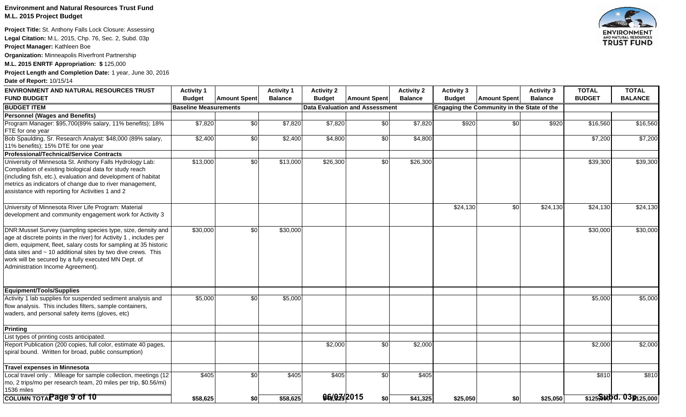### **Environment and Natural Resources Trust Fund M.L. 2015 Project Budget**

**Project Title:** St. Anthony Falls Lock Closure: Assessing

**Legal Citation:** M.L. 2015, Chp. 76, Sec. 2, Subd. 03p

**Project Manager:** Kathleen Boe

**Organization:** Minneapolis Riverfront Partnership

**M.L. 2015 ENRTF Appropriation: \$** 125,000

**Project Length and Completion Date:** 1 year, June 30, 2016

**Date of Report:** 10/15/14

| <b>ENVIRONMENT AND NATURAL RESOURCES TRUST</b><br><b>FUND BUDGET</b>                                                                                                                                                                                                                                                                                                    | <b>Activity 1</b><br><b>Budget</b> | <b>Amount Spent</b> | <b>Activity 1</b><br><b>Balance</b> | <b>Activity 2</b><br><b>Budget</b> | <b>Amount Spent</b>            | <b>Activity 2</b><br><b>Balance</b> | <b>Activity 3</b><br><b>Budget</b> | <b>Amount Spent</b>                        | <b>Activity 3</b><br><b>Balance</b> | <b>TOTAL</b><br><b>BUDGET</b> | <b>TOTAL</b><br><b>BALANCE</b> |
|-------------------------------------------------------------------------------------------------------------------------------------------------------------------------------------------------------------------------------------------------------------------------------------------------------------------------------------------------------------------------|------------------------------------|---------------------|-------------------------------------|------------------------------------|--------------------------------|-------------------------------------|------------------------------------|--------------------------------------------|-------------------------------------|-------------------------------|--------------------------------|
| <b>BUDGET ITEM</b>                                                                                                                                                                                                                                                                                                                                                      | <b>Baseline Measurements</b>       |                     |                                     |                                    | Data Evaluation and Assessment |                                     |                                    | Engaging the Community in the State of the |                                     |                               |                                |
| <b>Personnel (Wages and Benefits)</b>                                                                                                                                                                                                                                                                                                                                   |                                    |                     |                                     |                                    |                                |                                     |                                    |                                            |                                     |                               |                                |
| Program Manager: \$95,700(89% salary, 11% benefits); 18%<br><b>FTE</b> for one year                                                                                                                                                                                                                                                                                     | \$7,820                            | \$0                 | \$7,820                             | \$7,820                            | \$0                            | \$7,820                             | \$920                              | \$0                                        | \$920                               | \$16,560                      | \$16,560                       |
| Bob Spaulding, Sr. Research Analyst: \$48,000 (89% salary,<br>11% benefits); 15% DTE for one year                                                                                                                                                                                                                                                                       | \$2,400                            | \$0                 | \$2,400                             | \$4,800                            | \$0                            | \$4,800                             |                                    |                                            |                                     | \$7,200                       | \$7,200                        |
| <b>Professional/Technical/Service Contracts</b>                                                                                                                                                                                                                                                                                                                         |                                    |                     |                                     |                                    |                                |                                     |                                    |                                            |                                     |                               |                                |
| University of Minnesota St. Anthony Falls Hydrology Lab:<br>Compilation of existing biological data for study reach<br>(including fish, etc.), evaluation and development of habitat<br>metrics as indicators of change due to river management,<br>assistance with reporting for Activities 1 and 2                                                                    | \$13,000                           | \$0                 | \$13,000                            | \$26,300                           | \$0                            | \$26,300                            |                                    |                                            |                                     | \$39,300                      | \$39,300                       |
| University of Minnesota River Life Program: Material<br>development and community engagement work for Activity 3                                                                                                                                                                                                                                                        |                                    |                     |                                     |                                    |                                |                                     | \$24,130                           | \$0                                        | \$24,130                            | \$24,130                      | \$24,130                       |
| DNR: Mussel Survey (sampling species type, size, density and<br>age at discrete points in the river) for Activity 1, includes per<br>diem, equipment, fleet, salary costs for sampling at 35 historic<br>data sites and $\sim$ 10 additional sites by two dive crews. This<br>work will be secured by a fully executed MN Dept. of<br>Administration Income Agreement). | \$30,000                           | $\overline{60}$     | \$30,000                            |                                    |                                |                                     |                                    |                                            |                                     | \$30,000                      | \$30,000                       |
| Equipment/Tools/Supplies                                                                                                                                                                                                                                                                                                                                                |                                    |                     |                                     |                                    |                                |                                     |                                    |                                            |                                     |                               |                                |
| Activity 1 lab supplies for suspended sediment analysis and<br>flow analysis. This includes filters, sample containers,<br>waders, and personal safety items (gloves, etc)                                                                                                                                                                                              | \$5,000                            | \$0                 | \$5,000                             |                                    |                                |                                     |                                    |                                            |                                     | \$5,000                       | \$5,000                        |
| <b>Printing</b>                                                                                                                                                                                                                                                                                                                                                         |                                    |                     |                                     |                                    |                                |                                     |                                    |                                            |                                     |                               |                                |
| List types of printing costs anticipated.                                                                                                                                                                                                                                                                                                                               |                                    |                     |                                     |                                    |                                |                                     |                                    |                                            |                                     |                               |                                |
| Report Publication (200 copies, full color, estimate 40 pages,<br>spiral bound. Written for broad, public consumption)                                                                                                                                                                                                                                                  |                                    |                     |                                     | \$2,000                            | \$0                            | \$2,000                             |                                    |                                            |                                     | \$2,000                       | \$2,000                        |
| Travel expenses in Minnesota                                                                                                                                                                                                                                                                                                                                            |                                    |                     |                                     |                                    |                                |                                     |                                    |                                            |                                     |                               |                                |
| Local travel only . Mileage for sample collection, meetings (12<br>mo, 2 trips/mo per research team, 20 miles per trip, \$0.56/mi)<br>1536 miles                                                                                                                                                                                                                        | \$405                              | $\overline{60}$     | \$405                               | \$405                              | \$0                            | \$405                               |                                    |                                            |                                     | \$810                         | \$810                          |
| COLUMN TOTAPage 9 of 10                                                                                                                                                                                                                                                                                                                                                 | \$58,625                           | \$0                 | \$58,625                            | 96/9742015                         | \$0                            | \$41,325                            | \$25,050                           | \$0                                        | \$25,050                            |                               | $$125$ Sold d. 03 \$125,000    |